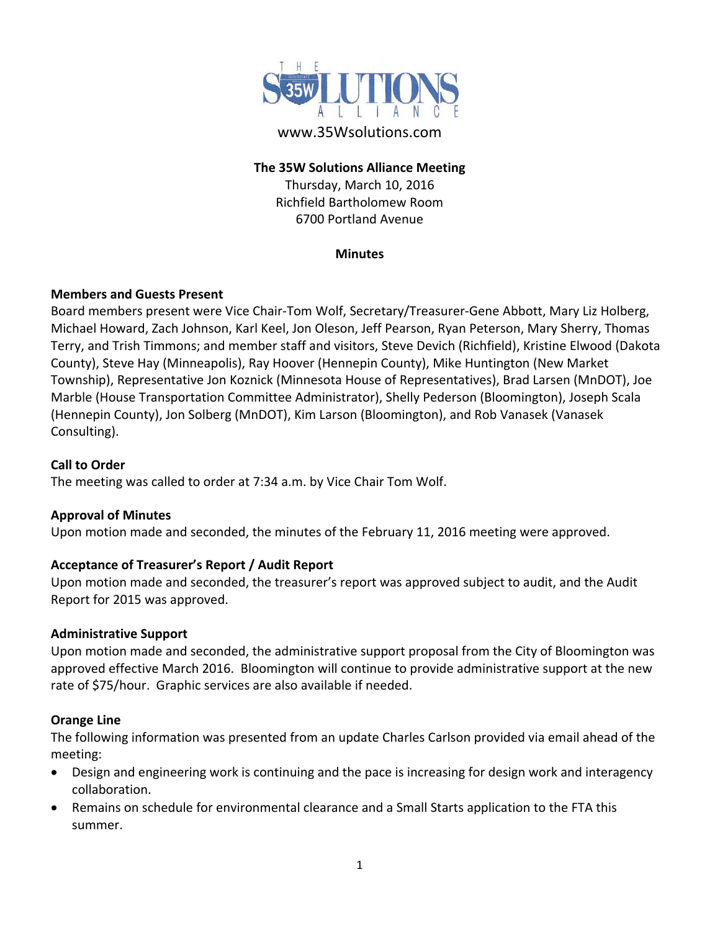

### **The 35W Solutions Alliance Meeting**

Thursday, March 10, 2016 Richfield Bartholomew Room 6700 Portland Avenue

#### **Minutes**

### **Members and Guests Present**

Board members present were Vice Chair‐Tom Wolf, Secretary/Treasurer‐Gene Abbott, Mary Liz Holberg, Michael Howard, Zach Johnson, Karl Keel, Jon Oleson, Jeff Pearson, Ryan Peterson, Mary Sherry, Thomas Terry, and Trish Timmons; and member staff and visitors, Steve Devich (Richfield), Kristine Elwood (Dakota County), Steve Hay (Minneapolis), Ray Hoover (Hennepin County), Mike Huntington (New Market Township), Representative Jon Koznick (Minnesota House of Representatives), Brad Larsen (MnDOT), Joe Marble (House Transportation Committee Administrator), Shelly Pederson (Bloomington), Joseph Scala (Hennepin County), Jon Solberg (MnDOT), Kim Larson (Bloomington), and Rob Vanasek (Vanasek Consulting).

## **Call to Order**

The meeting was called to order at 7:34 a.m. by Vice Chair Tom Wolf.

### **Approval of Minutes**

Upon motion made and seconded, the minutes of the February 11, 2016 meeting were approved.

### **Acceptance of Treasurer's Report / Audit Report**

Upon motion made and seconded, the treasurer's report was approved subject to audit, and the Audit Report for 2015 was approved.

### **Administrative Support**

Upon motion made and seconded, the administrative support proposal from the City of Bloomington was approved effective March 2016. Bloomington will continue to provide administrative support at the new rate of \$75/hour. Graphic services are also available if needed.

### **Orange Line**

The following information was presented from an update Charles Carlson provided via email ahead of the meeting:

- Design and engineering work is continuing and the pace is increasing for design work and interagency collaboration.
- Remains on schedule for environmental clearance and a Small Starts application to the FTA this summer.